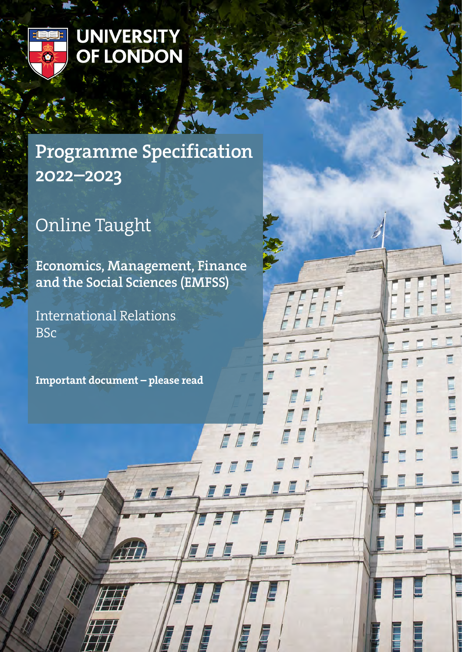

# UNIVERSITY<br>OF LONDON

# Programme Specification 2022–2023

# Online Taught

Economics, Management, Finance and the Social Sciences (EMFSS)

7 F F

E

E

É

International Relations BSc

Important document – please read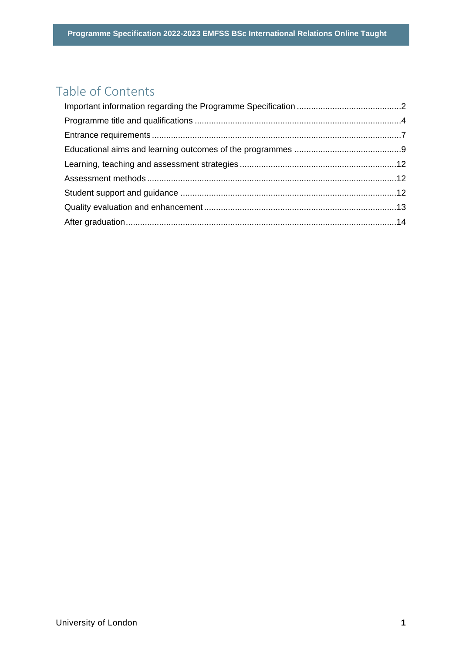# Table of Contents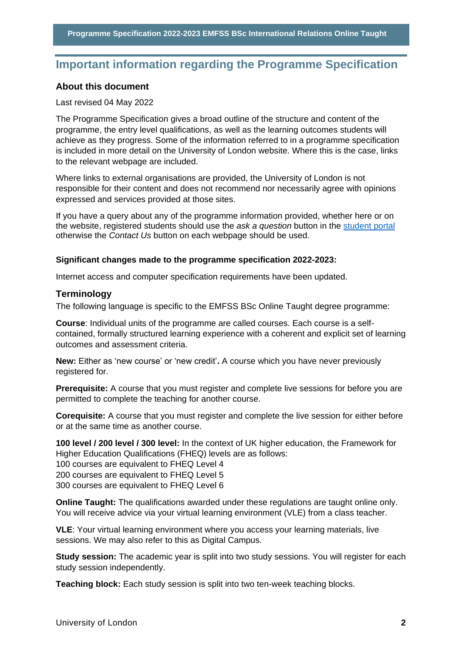# <span id="page-2-0"></span>**Important information regarding the Programme Specification**

#### **About this document**

#### Last revised 04 May 2022

The Programme Specification gives a broad outline of the structure and content of the programme, the entry level qualifications, as well as the learning outcomes students will achieve as they progress. Some of the information referred to in a programme specification is included in more detail on the University of London website. Where this is the case, links to the relevant webpage are included.

Where links to external organisations are provided, the University of London is not responsible for their content and does not recommend nor necessarily agree with opinions expressed and services provided at those sites.

If you have a query about any of the programme information provided, whether here or on the website, registered students should use the *ask a question* button in the [student portal](https://my.london.ac.uk/) otherwise the *Contact Us* button on each webpage should be used.

#### **Significant changes made to the programme specification 2022-2023:**

Internet access and computer specification requirements have been updated.

#### **Terminology**

The following language is specific to the EMFSS BSc Online Taught degree programme:

**Course**: Individual units of the programme are called courses. Each course is a selfcontained, formally structured learning experience with a coherent and explicit set of learning outcomes and assessment criteria.

**New:** Either as 'new course' or 'new credit'**.** A course which you have never previously registered for.

**Prerequisite:** A course that you must register and complete live sessions for before you are permitted to complete the teaching for another course.

**Corequisite:** A course that you must register and complete the live session for either before or at the same time as another course.

**100 level / 200 level / 300 level:** In the context of UK higher education, the Framework for Higher Education Qualifications (FHEQ) levels are as follows:

100 courses are equivalent to FHEQ Level 4

200 courses are equivalent to FHEQ Level 5

300 courses are equivalent to FHEQ Level 6

**Online Taught:** The qualifications awarded under these regulations are taught online only. You will receive advice via your virtual learning environment (VLE) from a class teacher.

**VLE**: Your virtual learning environment where you access your learning materials, live sessions. We may also refer to this as Digital Campus.

**Study session:** The academic year is split into two study sessions. You will register for each study session independently.

**Teaching block:** Each study session is split into two ten-week teaching blocks.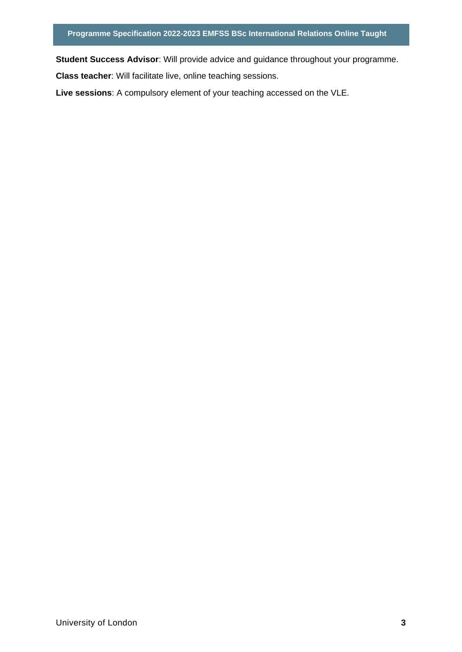**Student Success Advisor**: Will provide advice and guidance throughout your programme.

**Class teacher**: Will facilitate live, online teaching sessions.

**Live sessions**: A compulsory element of your teaching accessed on the VLE.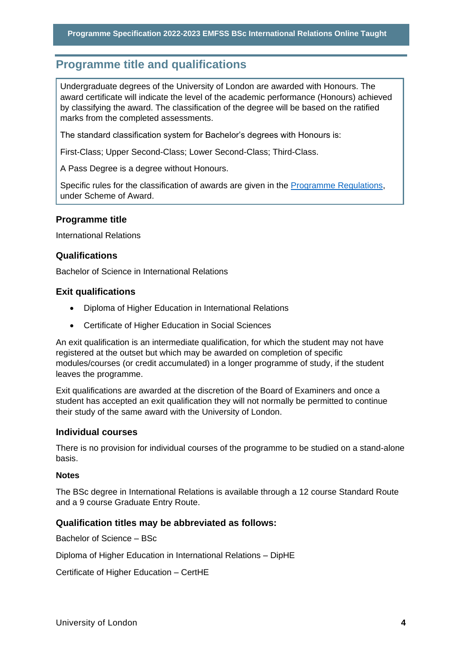# <span id="page-4-0"></span>**Programme title and qualifications**

Undergraduate degrees of the University of London are awarded with Honours. The award certificate will indicate the level of the academic performance (Honours) achieved by classifying the award. The classification of the degree will be based on the ratified marks from the completed assessments.

The standard classification system for Bachelor's degrees with Honours is:

First-Class; Upper Second-Class; Lower Second-Class; Third-Class.

A Pass Degree is a degree without Honours.

Specific rules for the classification of awards are given in the [Programme Regulations,](https://london.ac.uk/current-students/programme-documents/regulations) under Scheme of Award.

#### **Programme title**

International Relations

#### **Qualifications**

Bachelor of Science in International Relations

#### **Exit qualifications**

- Diploma of Higher Education in International Relations
- Certificate of Higher Education in Social Sciences

An exit qualification is an intermediate qualification, for which the student may not have registered at the outset but which may be awarded on completion of specific modules/courses (or credit accumulated) in a longer programme of study, if the student leaves the programme.

Exit qualifications are awarded at the discretion of the Board of Examiners and once a student has accepted an exit qualification they will not normally be permitted to continue their study of the same award with the University of London.

#### **Individual courses**

There is no provision for individual courses of the programme to be studied on a stand-alone basis.

#### **Notes**

The BSc degree in International Relations is available through a 12 course Standard Route and a 9 course Graduate Entry Route.

#### **Qualification titles may be abbreviated as follows:**

Bachelor of Science – BSc

Diploma of Higher Education in International Relations – DipHE

Certificate of Higher Education – CertHE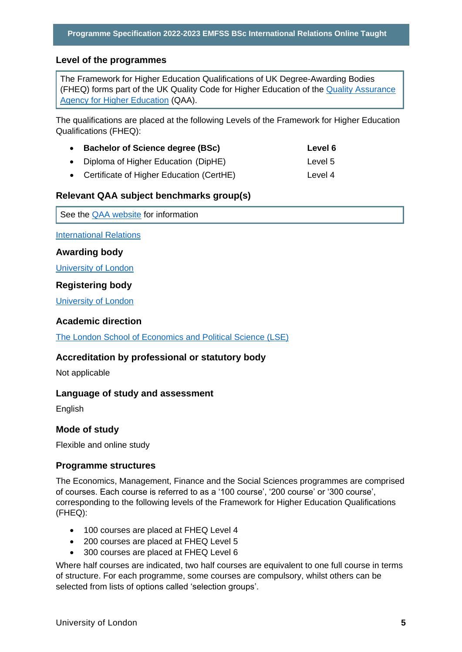#### **Level of the programmes**

The Framework for Higher Education Qualifications of UK Degree-Awarding Bodies (FHEQ) forms part of the UK Quality Code for Higher Education of the [Quality Assurance](http://www.qaa.ac.uk/en)  [Agency for Higher Education](http://www.qaa.ac.uk/en) (QAA).

The qualifications are placed at the following Levels of the Framework for Higher Education Qualifications (FHEQ):

| • Bachelor of Science degree (BSc)         | Level 6 |
|--------------------------------------------|---------|
| • Diploma of Higher Education (DipHE)      | Level 5 |
| • Certificate of Higher Education (CertHE) | Level 4 |

#### **Relevant QAA subject benchmarks group(s)**

See the [QAA website](http://www.qaa.ac.uk/) for information

[International Relations](https://www.qaa.ac.uk/docs/qaa/subject-benchmark-statements/subject-benchmark-statement-politics-and-international-relations.pdf?sfvrsn=73e2cb81_5)

#### **Awarding body**

[University of London](http://www.london.ac.uk/)

#### **Registering body**

[University of London](http://www.london.ac.uk/)

#### **Academic direction**

[The London School of Economics and Political Science \(LSE\)](http://www.lse.ac.uk/home.aspx) 

#### **Accreditation by professional or statutory body**

Not applicable

#### **Language of study and assessment**

English

#### **Mode of study**

Flexible and online study

#### **Programme structures**

The Economics, Management, Finance and the Social Sciences programmes are comprised of courses. Each course is referred to as a '100 course', '200 course' or '300 course', corresponding to the following levels of the Framework for Higher Education Qualifications (FHEQ):

- 100 courses are placed at FHEQ Level 4
- 200 courses are placed at FHEQ Level 5
- 300 courses are placed at FHEQ Level 6

Where half courses are indicated, two half courses are equivalent to one full course in terms of structure. For each programme, some courses are compulsory, whilst others can be selected from lists of options called 'selection groups'.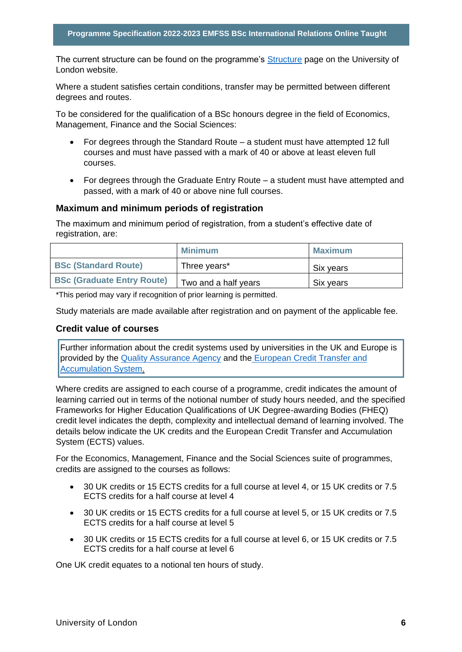The current structure can be found on the programme's [Structure](https://onlinecourses.london.ac.uk/undergraduate/international-relations-politics-degrees/international-relations/) page on the University of London website.

Where a student satisfies certain conditions, transfer may be permitted between different degrees and routes.

To be considered for the qualification of a BSc honours degree in the field of Economics, Management, Finance and the Social Sciences:

- For degrees through the Standard Route a student must have attempted 12 full courses and must have passed with a mark of 40 or above at least eleven full courses.
- For degrees through the Graduate Entry Route a student must have attempted and passed, with a mark of 40 or above nine full courses.

#### **Maximum and minimum periods of registration**

The maximum and minimum period of registration, from a student's effective date of registration, are:

|                                   | <b>Minimum</b>       | <b>Maximum</b> |
|-----------------------------------|----------------------|----------------|
| <b>BSc (Standard Route)</b>       | Three years*         | Six years      |
| <b>BSc (Graduate Entry Route)</b> | Two and a half years | Six years      |

\*This period may vary if recognition of prior learning is permitted.

Study materials are made available after registration and on payment of the applicable fee.

#### **Credit value of courses**

Further information about the credit systems used by universities in the UK and Europe is provided by the [Quality Assurance Agency](http://www.qaa.ac.uk/en) and the [European Credit Transfer and](http://ec.europa.eu/education/resources/european-credit-transfer-accumulation-system_en.htm)  [Accumulation System.](http://ec.europa.eu/education/resources/european-credit-transfer-accumulation-system_en.htm)

Where credits are assigned to each course of a programme, credit indicates the amount of learning carried out in terms of the notional number of study hours needed, and the specified Frameworks for Higher Education Qualifications of UK Degree-awarding Bodies (FHEQ) credit level indicates the depth, complexity and intellectual demand of learning involved. The details below indicate the UK credits and the European Credit Transfer and Accumulation System (ECTS) values.

For the Economics, Management, Finance and the Social Sciences suite of programmes, credits are assigned to the courses as follows:

- 30 UK credits or 15 ECTS credits for a full course at level 4, or 15 UK credits or 7.5 ECTS credits for a half course at level 4
- 30 UK credits or 15 ECTS credits for a full course at level 5, or 15 UK credits or 7.5 ECTS credits for a half course at level 5
- 30 UK credits or 15 ECTS credits for a full course at level 6, or 15 UK credits or 7.5 ECTS credits for a half course at level 6

One UK credit equates to a notional ten hours of study.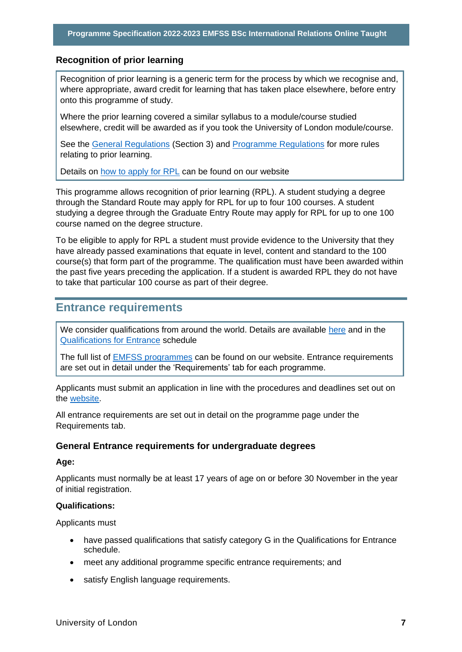#### **Recognition of prior learning**

Recognition of prior learning is a generic term for the process by which we recognise and, where appropriate, award credit for learning that has taken place elsewhere, before entry onto this programme of study.

Where the prior learning covered a similar syllabus to a module/course studied elsewhere, credit will be awarded as if you took the University of London module/course.

See the [General Regulations](https://london.ac.uk/current-students/programme-documents/regulations) (Section 3) and [Programme Regulations](https://london.ac.uk/current-studentsprogramme-documents/regulations) for more rules relating to prior learning.

Details on [how to apply for RPL](https://london.ac.uk/applications/how-apply/recognition-prior-learning/recognition-and-accreditation-prior-learning-0) can be found on our website

This programme allows recognition of prior learning (RPL). A student studying a degree through the Standard Route may apply for RPL for up to four 100 courses. A student studying a degree through the Graduate Entry Route may apply for RPL for up to one 100 course named on the degree structure.

To be eligible to apply for RPL a student must provide evidence to the University that they have already passed examinations that equate in level, content and standard to the 100 course(s) that form part of the programme. The qualification must have been awarded within the past five years preceding the application. If a student is awarded RPL they do not have to take that particular 100 course as part of their degree.

### <span id="page-7-0"></span>**Entrance requirements**

We consider qualifications from around the world. Details are available [here](https://london.ac.uk/applications/how-apply/am-i-qualified) and in the [Qualifications for Entrance](https://london.ac.uk/entrance-qualifications) schedule

The full list of **EMFSS** programmes can be found on our website. Entrance requirements are set out in detail under the 'Requirements' tab for each programme.

Applicants must submit an application in line with the procedures and deadlines set out on the [website.](https://london.ac.uk/applications/how-apply)

All entrance requirements are set out in detail on the programme page under the Requirements tab.

#### **General Entrance requirements for undergraduate degrees**

#### **Age:**

Applicants must normally be at least 17 years of age on or before 30 November in the year of initial registration.

#### **Qualifications:**

Applicants must

- have passed qualifications that satisfy category G in the Qualifications for Entrance schedule.
- meet any additional programme specific entrance requirements; and
- satisfy English language requirements.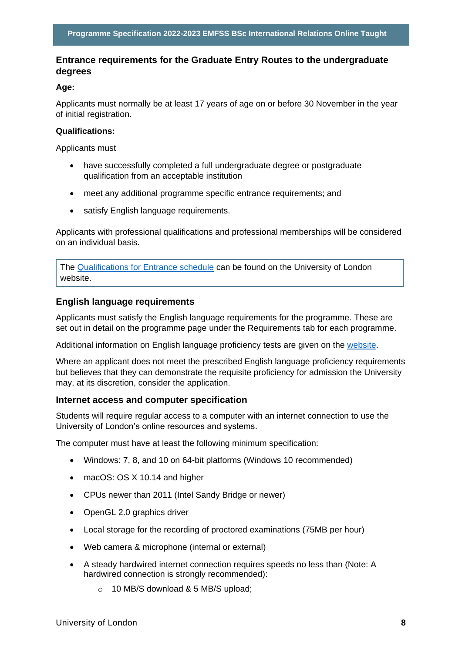#### **Entrance requirements for the Graduate Entry Routes to the undergraduate degrees**

#### **Age:**

Applicants must normally be at least 17 years of age on or before 30 November in the year of initial registration.

#### **Qualifications:**

Applicants must

- have successfully completed a full undergraduate degree or postgraduate qualification from an acceptable institution
- meet any additional programme specific entrance requirements; and
- satisfy English language requirements.

Applicants with professional qualifications and professional memberships will be considered on an individual basis.

The [Qualifications for Entrance schedule](https://london.ac.uk/entrance-qualifications) can be found on the University of London website.

#### **English language requirements**

Applicants must satisfy the English language requirements for the programme. These are set out in detail on the programme page under the Requirements tab for each programme.

Additional information on English language proficiency tests are given on the [website.](https://london.ac.uk/applications/how-apply/english-requirements)

Where an applicant does not meet the prescribed English language proficiency requirements but believes that they can demonstrate the requisite proficiency for admission the University may, at its discretion, consider the application.

#### **Internet access and computer specification**

Students will require regular access to a computer with an internet connection to use the University of London's online resources and systems.

The computer must have at least the following minimum specification:

- Windows: 7, 8, and 10 on 64-bit platforms (Windows 10 recommended)
- macOS: OS X 10.14 and higher
- CPUs newer than 2011 (Intel Sandy Bridge or newer)
- OpenGL 2.0 graphics driver
- Local storage for the recording of proctored examinations (75MB per hour)
- Web camera & microphone (internal or external)
- A steady hardwired internet connection requires speeds no less than (Note: A hardwired connection is strongly recommended):
	- o 10 MB/S download & 5 MB/S upload;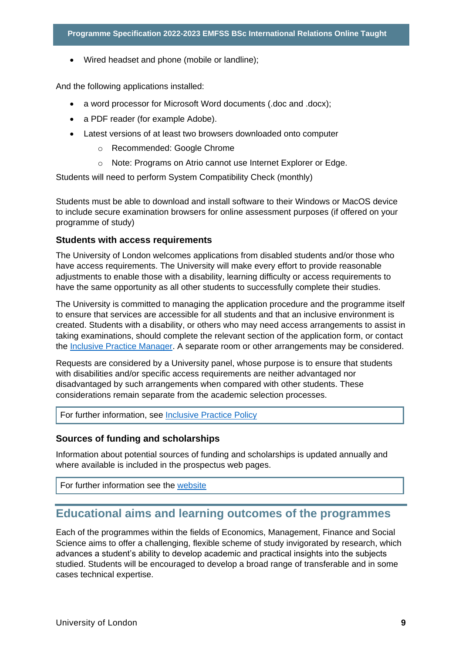• Wired headset and phone (mobile or landline);

And the following applications installed:

- a word processor for Microsoft Word documents (.doc and .docx);
- a PDF reader (for example Adobe).
- Latest versions of at least two browsers downloaded onto computer
	- o Recommended: Google Chrome
	- o Note: Programs on Atrio cannot use Internet Explorer or Edge.

Students will need to perform System Compatibility Check (monthly)

Students must be able to download and install software to their Windows or MacOS device to include secure examination browsers for online assessment purposes (if offered on your programme of study)

#### **Students with access requirements**

The University of London welcomes applications from disabled students and/or those who have access requirements. The University will make every effort to provide reasonable adjustments to enable those with a disability, learning difficulty or access requirements to have the same opportunity as all other students to successfully complete their studies.

The University is committed to managing the application procedure and the programme itself to ensure that services are accessible for all students and that an inclusive environment is created. Students with a disability, or others who may need access arrangements to assist in taking examinations, should complete the relevant section of the application form, or contact the [Inclusive Practice Manager.](mailto:special.arrangements@london.ac.uk) A separate room or other arrangements may be considered.

Requests are considered by a University panel, whose purpose is to ensure that students with disabilities and/or specific access requirements are neither advantaged nor disadvantaged by such arrangements when compared with other students. These considerations remain separate from the academic selection processes.

For further information, see [Inclusive Practice Policy](https://london.ac.uk/applications/how-it-works/inclusive-practice-special-arrangements)

#### **Sources of funding and scholarships**

Information about potential sources of funding and scholarships is updated annually and where available is included in the prospectus web pages.

For further information see the [website](https://london.ac.uk/applications/funding-your-study)

# <span id="page-9-0"></span>**Educational aims and learning outcomes of the programmes**

Each of the programmes within the fields of Economics, Management, Finance and Social Science aims to offer a challenging, flexible scheme of study invigorated by research, which advances a student's ability to develop academic and practical insights into the subjects studied. Students will be encouraged to develop a broad range of transferable and in some cases technical expertise.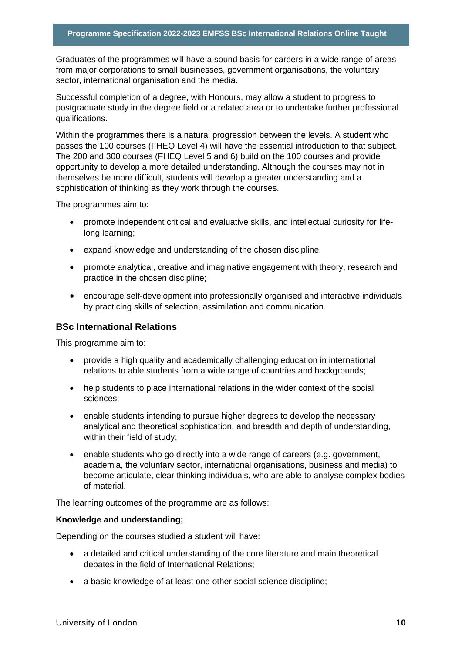Graduates of the programmes will have a sound basis for careers in a wide range of areas from major corporations to small businesses, government organisations, the voluntary sector, international organisation and the media.

Successful completion of a degree, with Honours, may allow a student to progress to postgraduate study in the degree field or a related area or to undertake further professional qualifications.

Within the programmes there is a natural progression between the levels. A student who passes the 100 courses (FHEQ Level 4) will have the essential introduction to that subject. The 200 and 300 courses (FHEQ Level 5 and 6) build on the 100 courses and provide opportunity to develop a more detailed understanding. Although the courses may not in themselves be more difficult, students will develop a greater understanding and a sophistication of thinking as they work through the courses.

The programmes aim to:

- promote independent critical and evaluative skills, and intellectual curiosity for lifelong learning;
- expand knowledge and understanding of the chosen discipline;
- promote analytical, creative and imaginative engagement with theory, research and practice in the chosen discipline;
- encourage self-development into professionally organised and interactive individuals by practicing skills of selection, assimilation and communication.

#### **BSc International Relations**

This programme aim to:

- provide a high quality and academically challenging education in international relations to able students from a wide range of countries and backgrounds:
- help students to place international relations in the wider context of the social sciences;
- enable students intending to pursue higher degrees to develop the necessary analytical and theoretical sophistication, and breadth and depth of understanding, within their field of study;
- enable students who go directly into a wide range of careers (e.g. government, academia, the voluntary sector, international organisations, business and media) to become articulate, clear thinking individuals, who are able to analyse complex bodies of material.

The learning outcomes of the programme are as follows:

#### **Knowledge and understanding;**

Depending on the courses studied a student will have:

- a detailed and critical understanding of the core literature and main theoretical debates in the field of International Relations;
- a basic knowledge of at least one other social science discipline;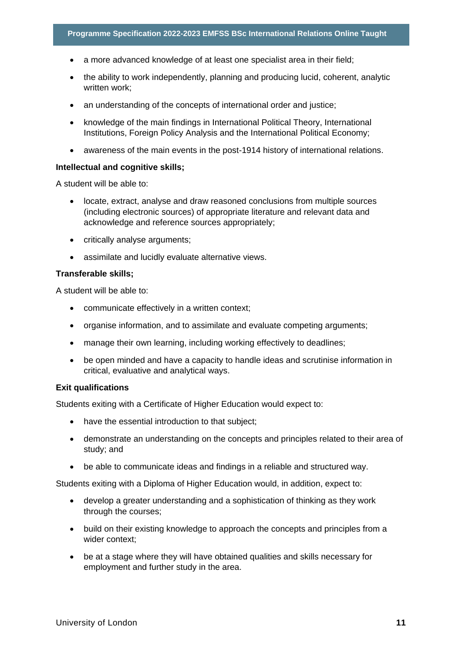- a more advanced knowledge of at least one specialist area in their field;
- the ability to work independently, planning and producing lucid, coherent, analytic written work;
- an understanding of the concepts of international order and justice;
- knowledge of the main findings in International Political Theory, International Institutions, Foreign Policy Analysis and the International Political Economy;
- awareness of the main events in the post-1914 history of international relations.

#### **Intellectual and cognitive skills;**

A student will be able to:

- locate, extract, analyse and draw reasoned conclusions from multiple sources (including electronic sources) of appropriate literature and relevant data and acknowledge and reference sources appropriately;
- critically analyse arguments;
- assimilate and lucidly evaluate alternative views.

#### **Transferable skills;**

A student will be able to:

- communicate effectively in a written context;
- organise information, and to assimilate and evaluate competing arguments;
- manage their own learning, including working effectively to deadlines;
- be open minded and have a capacity to handle ideas and scrutinise information in critical, evaluative and analytical ways.

#### **Exit qualifications**

Students exiting with a Certificate of Higher Education would expect to:

- have the essential introduction to that subject;
- demonstrate an understanding on the concepts and principles related to their area of study; and
- be able to communicate ideas and findings in a reliable and structured way.

Students exiting with a Diploma of Higher Education would, in addition, expect to:

- develop a greater understanding and a sophistication of thinking as they work through the courses;
- build on their existing knowledge to approach the concepts and principles from a wider context;
- be at a stage where they will have obtained qualities and skills necessary for employment and further study in the area.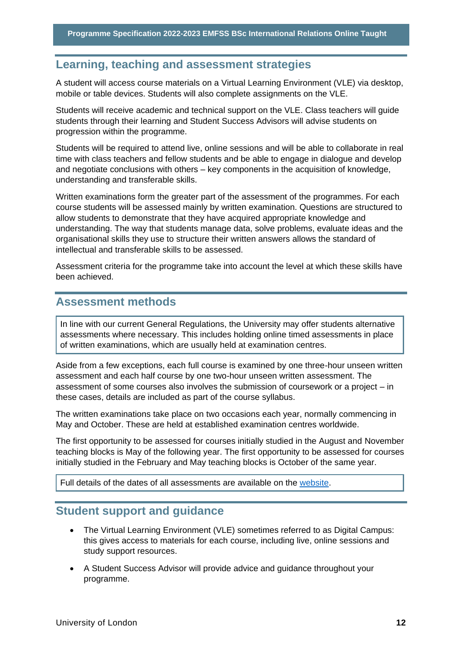# <span id="page-12-0"></span>**Learning, teaching and assessment strategies**

A student will access course materials on a Virtual Learning Environment (VLE) via desktop, mobile or table devices. Students will also complete assignments on the VLE.

Students will receive academic and technical support on the VLE. Class teachers will guide students through their learning and Student Success Advisors will advise students on progression within the programme.

Students will be required to attend live, online sessions and will be able to collaborate in real time with class teachers and fellow students and be able to engage in dialogue and develop and negotiate conclusions with others – key components in the acquisition of knowledge, understanding and transferable skills.

Written examinations form the greater part of the assessment of the programmes. For each course students will be assessed mainly by written examination. Questions are structured to allow students to demonstrate that they have acquired appropriate knowledge and understanding. The way that students manage data, solve problems, evaluate ideas and the organisational skills they use to structure their written answers allows the standard of intellectual and transferable skills to be assessed.

Assessment criteria for the programme take into account the level at which these skills have been achieved.

# <span id="page-12-1"></span>**Assessment methods**

In line with our current General Regulations, the University may offer students alternative assessments where necessary. This includes holding online timed assessments in place of written examinations, which are usually held at examination centres.

Aside from a few exceptions, each full course is examined by one three-hour unseen written assessment and each half course by one two-hour unseen written assessment. The assessment of some courses also involves the submission of coursework or a project – in these cases, details are included as part of the course syllabus.

The written examinations take place on two occasions each year, normally commencing in May and October. These are held at established examination centres worldwide.

The first opportunity to be assessed for courses initially studied in the August and November teaching blocks is May of the following year. The first opportunity to be assessed for courses initially studied in the February and May teaching blocks is October of the same year.

Full details of the dates of all assessments are available on the [website.](https://london.ac.uk/current-students/examinations/exam-timetables)

#### <span id="page-12-2"></span>**Student support and guidance**

- The Virtual Learning Environment (VLE) sometimes referred to as Digital Campus: this gives access to materials for each course, including live, online sessions and study support resources.
- A Student Success Advisor will provide advice and guidance throughout your programme.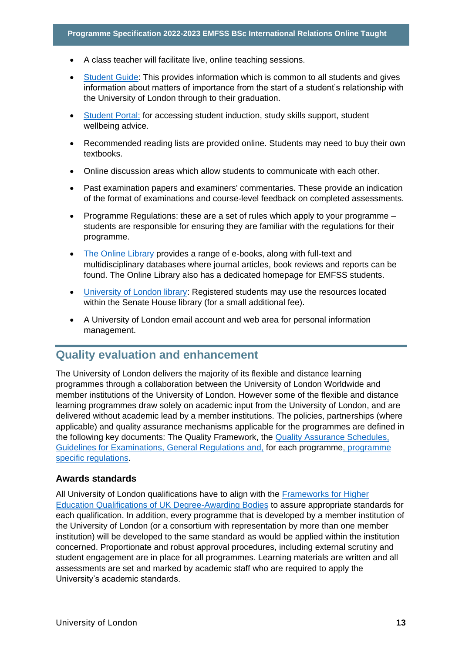- A class teacher will facilitate live, online teaching sessions.
- Student Guide: This provides information which is common to all students and gives information about matters of importance from the start of a student's relationship with the University of London through to their graduation.
- Student Portal: for accessing student induction, study skills support, student wellbeing advice.
- Recommended reading lists are provided online. Students may need to buy their own textbooks.
- Online discussion areas which allow students to communicate with each other.
- Past examination papers and examiners' commentaries. These provide an indication of the format of examinations and course-level feedback on completed assessments.
- Programme Regulations: these are a set of rules which apply to your programme students are responsible for ensuring they are familiar with the regulations for their programme.
- The Online Library provides a range of e-books, along with full-text and multidisciplinary databases where journal articles, book reviews and reports can be found. The Online Library also has a dedicated homepage for EMFSS students.
- University of London library: Registered students may use the resources located within the Senate House library (for a small additional fee).
- A University of London email account and web area for personal information management.

# <span id="page-13-0"></span>**Quality evaluation and enhancement**

The University of London delivers the majority of its flexible and distance learning programmes through a collaboration between the University of London Worldwide and member institutions of the University of London. However some of the flexible and distance learning programmes draw solely on academic input from the University of London, and are delivered without academic lead by a member institutions. The policies, partnerships (where applicable) and quality assurance mechanisms applicable for the programmes are defined in the following key documents: The Quality Framework, the Quality Assurance Schedules, Guidelines for Examinations, General Regulations and, for each programme, programme specific regulations.

#### **Awards standards**

All University of London qualifications have to align with the Frameworks for Higher Education Qualifications of UK Degree-Awarding Bodies to assure appropriate standards for each qualification. In addition, every programme that is developed by a member institution of the University of London (or a consortium with representation by more than one member institution) will be developed to the same standard as would be applied within the institution concerned. Proportionate and robust approval procedures, including external scrutiny and student engagement are in place for all programmes. Learning materials are written and all assessments are set and marked by academic staff who are required to apply the University's academic standards.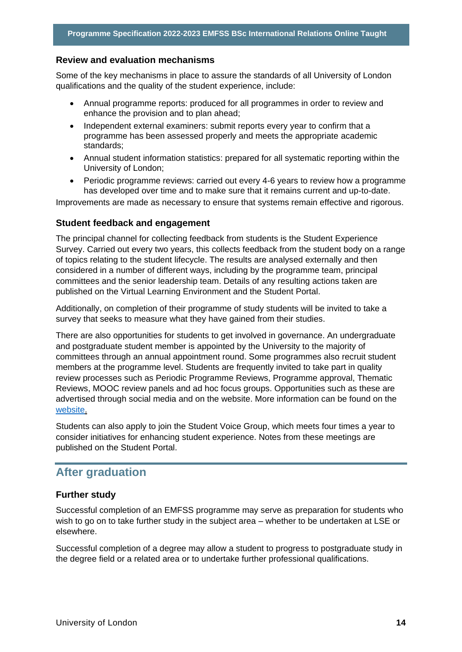#### **Review and evaluation mechanisms**

Some of the key mechanisms in place to assure the standards of all University of London qualifications and the quality of the student experience, include:

- Annual programme reports: produced for all programmes in order to review and enhance the provision and to plan ahead;
- Independent external examiners: submit reports every year to confirm that a programme has been assessed properly and meets the appropriate academic standards;
- Annual student information statistics: prepared for all systematic reporting within the University of London;
- Periodic programme reviews: carried out every 4-6 years to review how a programme has developed over time and to make sure that it remains current and up-to-date.

Improvements are made as necessary to ensure that systems remain effective and rigorous.

#### **Student feedback and engagement**

The principal channel for collecting feedback from students is the Student Experience Survey. Carried out every two years, this collects feedback from the student body on a range of topics relating to the student lifecycle. The results are analysed externally and then considered in a number of different ways, including by the programme team, principal committees and the senior leadership team. Details of any resulting actions taken are published on the Virtual Learning Environment and the Student Portal.

Additionally, on completion of their programme of study students will be invited to take a survey that seeks to measure what they have gained from their studies.

There are also opportunities for students to get involved in governance. An undergraduate and postgraduate student member is appointed by the University to the majority of committees through an annual appointment round. Some programmes also recruit student members at the programme level. Students are frequently invited to take part in quality review processes such as Periodic Programme Reviews, Programme approval, Thematic Reviews, MOOC review panels and ad hoc focus groups. Opportunities such as these are advertised through social media and on the website. More information can be found on the website.

Students can also apply to join the Student Voice Group, which meets four times a year to consider initiatives for enhancing student experience. Notes from these meetings are published on the Student Portal.

# <span id="page-14-0"></span>**After graduation**

#### **Further study**

Successful completion of an EMFSS programme may serve as preparation for students who wish to go on to take further study in the subject area – whether to be undertaken at LSE or elsewhere.

Successful completion of a degree may allow a student to progress to postgraduate study in the degree field or a related area or to undertake further professional qualifications.